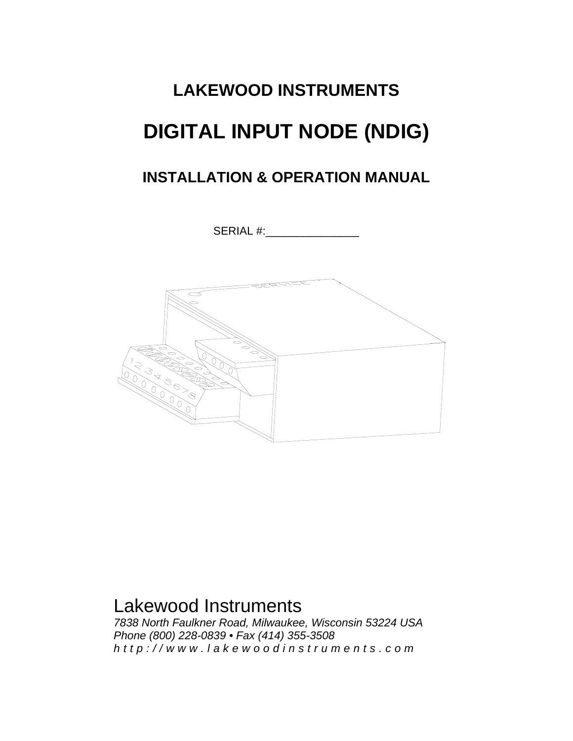# **LAKEWOOD INSTRUMENTS DIGITAL INPUT NODE (NDIG)**

# **INSTALLATION & OPERATION MANUAL**

SERIAL #:



# Lakewood Instruments

*7838 North Faulkner Road, Milwaukee, Wisconsin 53224 USA Phone (800) 228-0839 • Fax (414) 355-3508 http://www.lakewoodinstrum ents.com*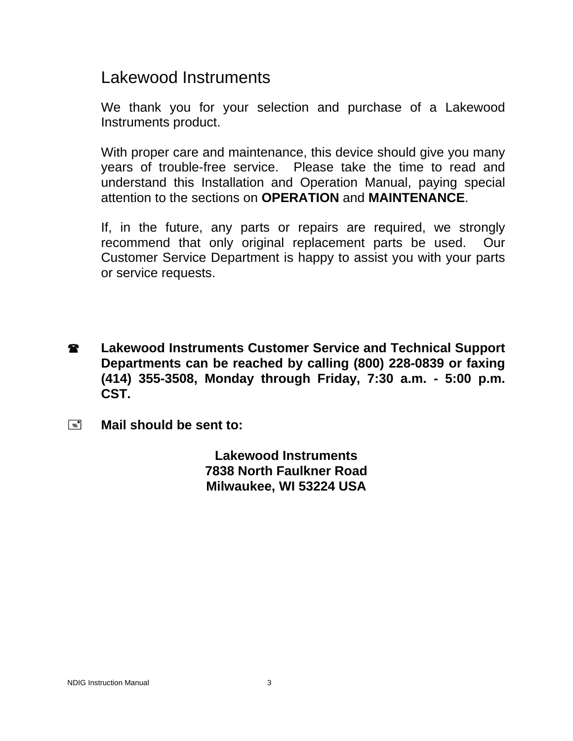# Lakewood Instruments

We thank you for your selection and purchase of a Lakewood Instruments product.

With proper care and maintenance, this device should give you many years of trouble-free service. Please take the time to read and understand this Installation and Operation Manual, paying special attention to the sections on **OPERATION** and **MAINTENANCE**.

If, in the future, any parts or repairs are required, we strongly recommend that only original replacement parts be used. Our Customer Service Department is happy to assist you with your parts or service requests.

- **2** Lakewood Instruments Customer Service and Technical Support **Departments can be reached by calling (800) 228-0839 or faxing (414) 355-3508, Monday through Friday, 7:30 a.m. - 5:00 p.m. CST.**
- **Mail should be sent to:**

**Lakewood Instruments 7838 North Faulkner Road Milwaukee, WI 53224 USA**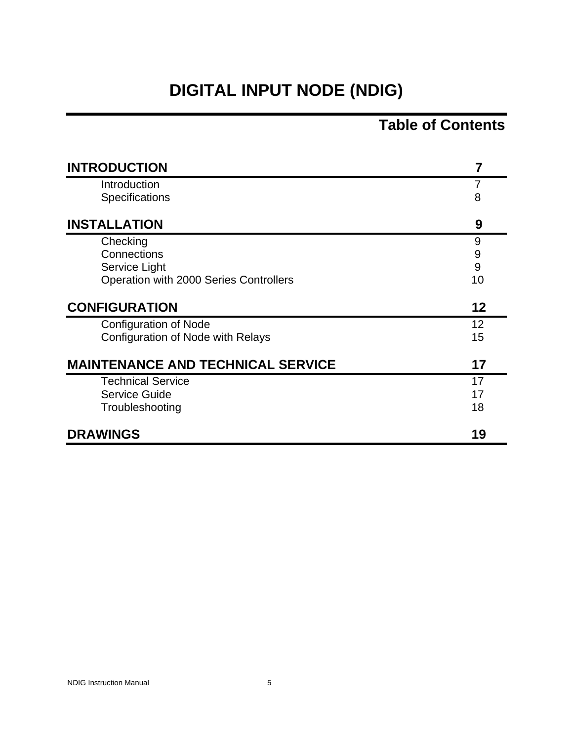# **DIGITAL INPUT NODE (NDIG)**

# **Table of Contents**

| <b>INTRODUCTION</b>                      | 7  |
|------------------------------------------|----|
| Introduction                             | 7  |
| <b>Specifications</b>                    | 8  |
| <b>INSTALLATION</b>                      | 9  |
| Checking                                 | 9  |
| Connections                              | 9  |
| Service Light                            | 9  |
| Operation with 2000 Series Controllers   | 10 |
| <b>CONFIGURATION</b>                     | 12 |
| <b>Configuration of Node</b>             | 12 |
| Configuration of Node with Relays        | 15 |
| <b>MAINTENANCE AND TECHNICAL SERVICE</b> | 17 |
| <b>Technical Service</b>                 | 17 |
| Service Guide                            | 17 |
| Troubleshooting                          | 18 |
| <b>DRAWINGS</b>                          | 19 |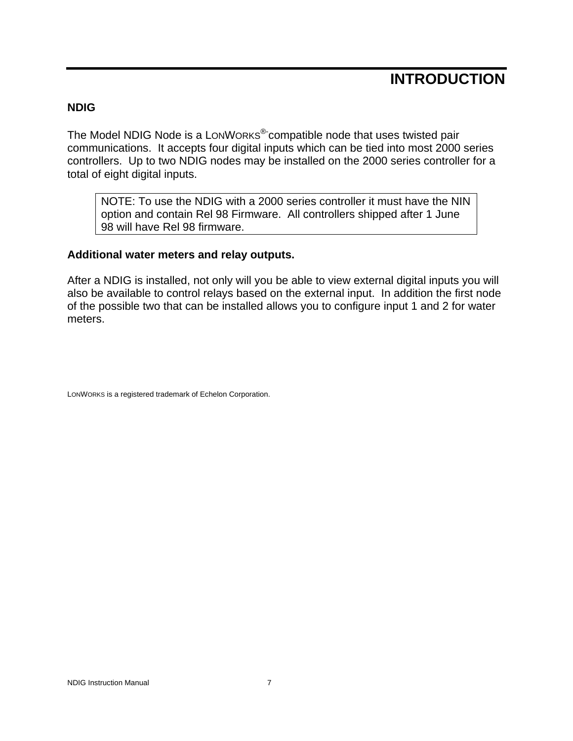# **INTRODUCTION**

#### **NDIG**

The Model NDIG Node is a LONWORKS<sup>®-</sup>compatible node that uses twisted pair communications. It accepts four digital inputs which can be tied into most 2000 series controllers. Up to two NDIG nodes may be installed on the 2000 series controller for a total of eight digital inputs.

NOTE: To use the NDIG with a 2000 series controller it must have the NIN option and contain Rel 98 Firmware. All controllers shipped after 1 June 98 will have Rel 98 firmware.

#### **Additional water meters and relay outputs.**

After a NDIG is installed, not only will you be able to view external digital inputs you will also be available to control relays based on the external input. In addition the first node of the possible two that can be installed allows you to configure input 1 and 2 for water meters.

LONWORKS is a registered trademark of Echelon Corporation.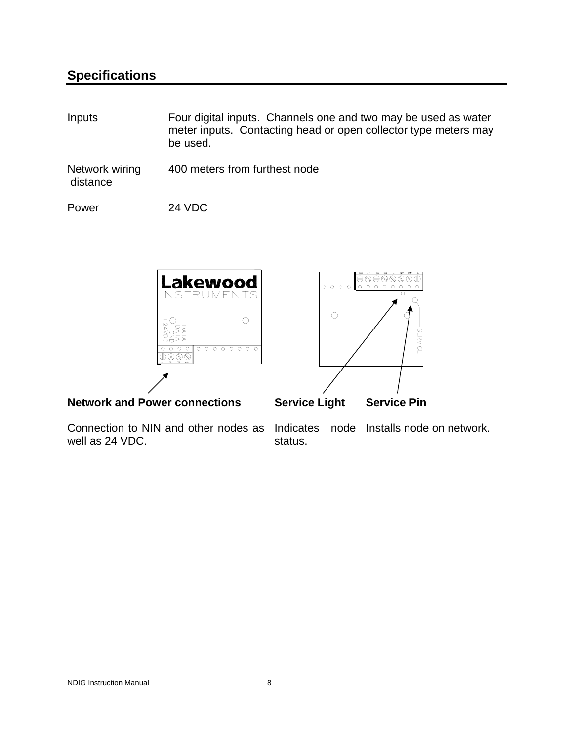### **Specifications**

| Inputs                     | Four digital inputs. Channels one and two may be used as water<br>meter inputs. Contacting head or open collector type meters may<br>be used. |
|----------------------------|-----------------------------------------------------------------------------------------------------------------------------------------------|
| Network wiring<br>distance | 400 meters from furthest node                                                                                                                 |

Power 24 VDC



well as 24 VDC.

Connection to NIN and other nodes as Indicates node Installs node on network. status.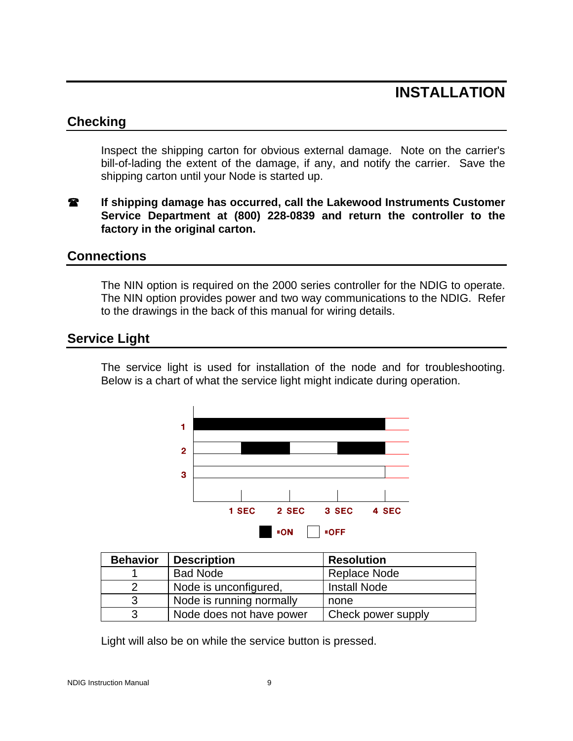# **INSTALLATION**

#### **Checking**

Inspect the shipping carton for obvious external damage. Note on the carrier's bill-of-lading the extent of the damage, if any, and notify the carrier. Save the shipping carton until your Node is started up.

**If shipping damage has occurred, call the Lakewood Instruments Customer Service Department at (800) 228-0839 and return the controller to the factory in the original carton.** 

#### **Connections**

The NIN option is required on the 2000 series controller for the NDIG to operate. The NIN option provides power and two way communications to the NDIG. Refer to the drawings in the back of this manual for wiring details.

#### **Service Light**

The service light is used for installation of the node and for troubleshooting. Below is a chart of what the service light might indicate during operation.



| <b>Behavior</b> | <b>Description</b>       | <b>Resolution</b>   |
|-----------------|--------------------------|---------------------|
|                 | <b>Bad Node</b>          | Replace Node        |
| っ               | Node is unconfigured,    | <b>Install Node</b> |
| 3               | Node is running normally | none                |
| 3               | Node does not have power | Check power supply  |

Light will also be on while the service button is pressed.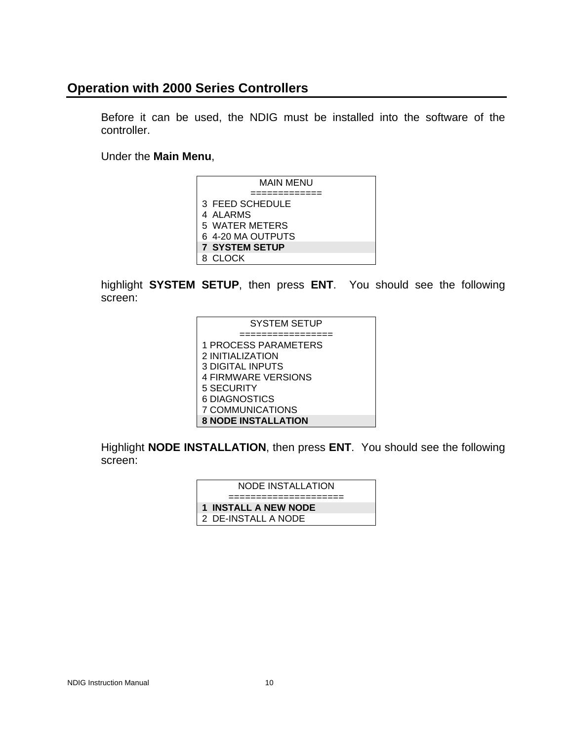#### **Operation with 2000 Series Controllers**

Before it can be used, the NDIG must be installed into the software of the controller.

Under the **Main Menu**,

| MAIN MENU             |
|-----------------------|
|                       |
| 3 FEED SCHEDULE       |
| 4 ALARMS              |
| 5 WATER METERS        |
| 6 4-20 MA OUTPUTS     |
| <b>7 SYSTEM SETUP</b> |
| 8 CLOCK               |

highlight **SYSTEM SETUP**, then press **ENT**. You should see the following screen:

| <b>SYSTEM SETUP</b>        |
|----------------------------|
|                            |
| 1 PROCESS PARAMETERS       |
| 2 INITIALIZATION           |
| <b>3 DIGITAL INPUTS</b>    |
| <b>4 FIRMWARE VERSIONS</b> |
| 5 SECURITY                 |
| 6 DIAGNOSTICS              |
| 7 COMMUNICATIONS           |
| <b>8 NODE INSTALLATION</b> |

Highlight **NODE INSTALLATION**, then press **ENT**. You should see the following screen:

| NODE INSTALLATION    |
|----------------------|
|                      |
| 1 INSTALL A NEW NODE |
| 2 DE-INSTALL A NODE  |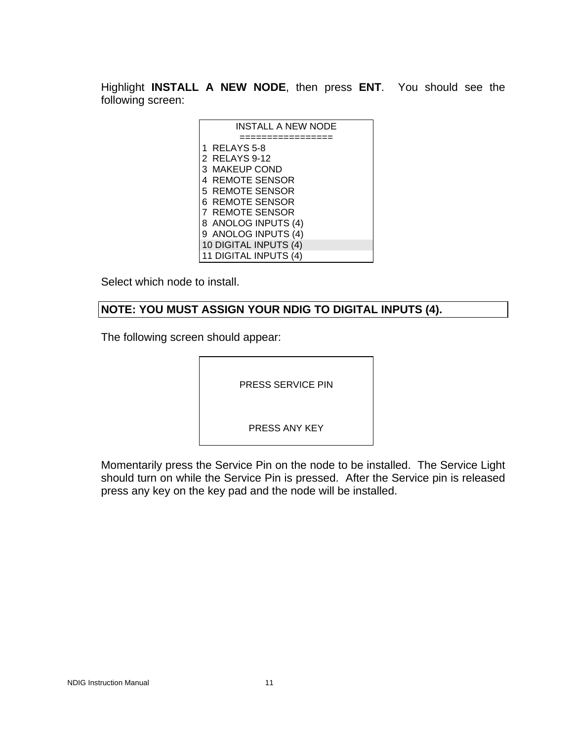Highlight **INSTALL A NEW NODE**, then press **ENT**. You should see the following screen:

| INSTALL A NEW NODE    |
|-----------------------|
|                       |
| 1 RELAYS 5-8          |
| 2 RELAYS 9-12         |
| 3 MAKEUP COND         |
| 4 REMOTE SENSOR       |
| 5 REMOTE SENSOR       |
| 6 REMOTE SENSOR       |
| 7 REMOTE SENSOR       |
| 8 ANOLOG INPUTS (4)   |
| 9 ANOLOG INPUTS (4)   |
| 10 DIGITAL INPUTS (4) |
| 11 DIGITAL INPUTS (4) |

Select which node to install.

#### **NOTE: YOU MUST ASSIGN YOUR NDIG TO DIGITAL INPUTS (4).**

The following screen should appear:

PRESS SERVICE PIN

PRESS ANY KEY

Momentarily press the Service Pin on the node to be installed. The Service Light should turn on while the Service Pin is pressed. After the Service pin is released press any key on the key pad and the node will be installed.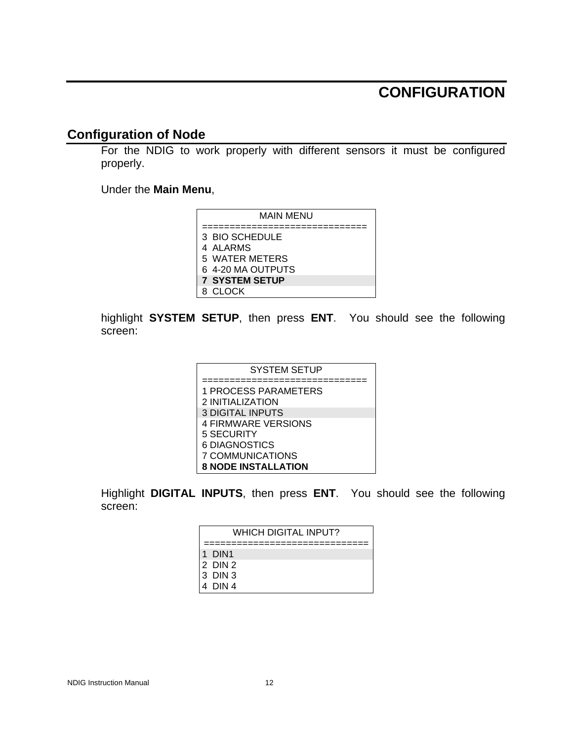## **CONFIGURATION**

#### **Configuration of Node**

For the NDIG to work properly with different sensors it must be configured properly.

Under the **Main Menu**,

| MAIN MENU             |
|-----------------------|
|                       |
| 3 BIO SCHEDULE        |
| 4 ALARMS              |
| 5 WATER METERS        |
| 6 4-20 MA OUTPUTS     |
| <b>7 SYSTEM SETUP</b> |
| 8. CI OCK             |

highlight **SYSTEM SETUP**, then press **ENT**. You should see the following screen:

| <b>SYSTEM SETUP</b>        |
|----------------------------|
|                            |
| 1 PROCESS PARAMETERS       |
| 2 INITIALIZATION           |
| <b>3 DIGITAL INPUTS</b>    |
| <b>4 FIRMWARE VERSIONS</b> |
| 5 SECURITY                 |
| 6 DIAGNOSTICS              |
| 7 COMMUNICATIONS           |
| <b>8 NODE INSTALLATION</b> |

Highlight **DIGITAL INPUTS**, then press **ENT**. You should see the following screen:

| WHICH DIGITAL INPUT? |
|----------------------|
| l 1 DIN1             |
| 12 DIN 2             |
| 13 DIN 3             |
| 4 DIN 4              |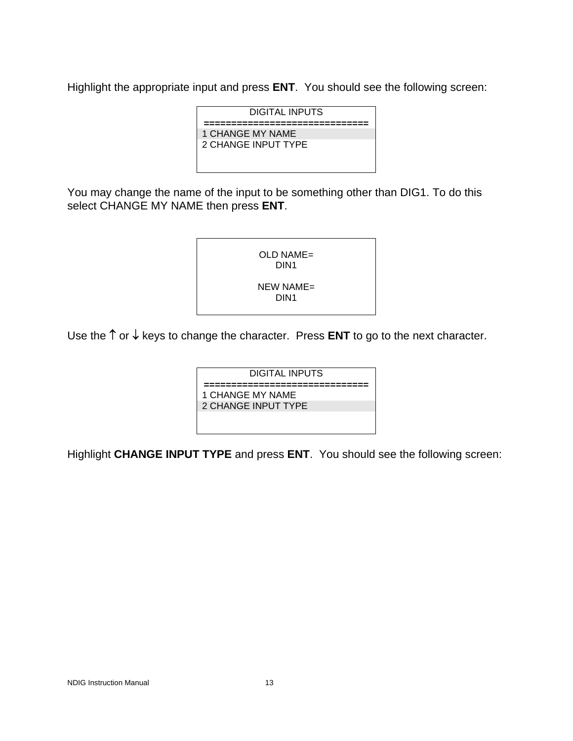Highlight the appropriate input and press **ENT**. You should see the following screen:

| DIGITAL INPUTS      |
|---------------------|
|                     |
| 1 CHANGE MY NAME    |
| 2 CHANGE INPUT TYPE |
|                     |
|                     |
|                     |

You may change the name of the input to be something other than DIG1. To do this select CHANGE MY NAME then press **ENT**.



Use the ↑ or ↓ keys to change the character. Press **ENT** to go to the next character.

DIGITAL INPUTS **==============================**  1 CHANGE MY NAME 2 CHANGE INPUT TYPE

Highlight **CHANGE INPUT TYPE** and press **ENT**. You should see the following screen: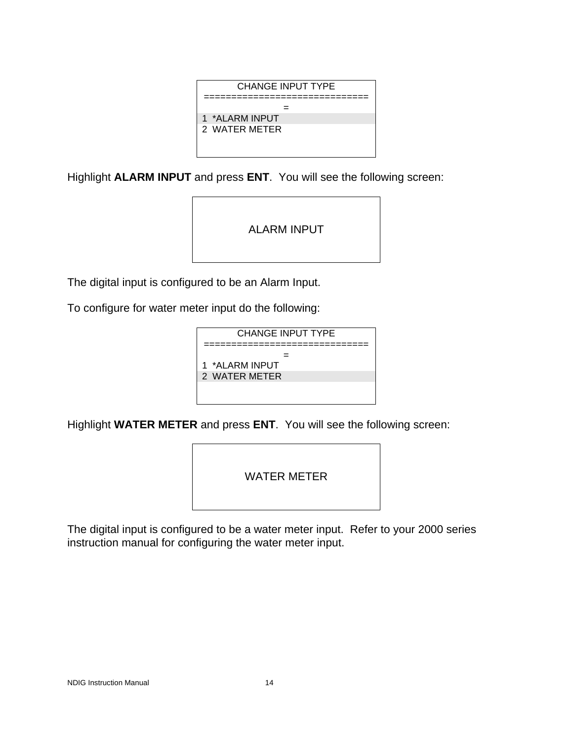

Highlight **ALARM INPUT** and press **ENT**. You will see the following screen:

ALARM INPUT

The digital input is configured to be an Alarm Input.

To configure for water meter input do the following:

| <b>CHANGE INPUT TYPE</b> |
|--------------------------|
|                          |
| 1 *ALARM INPUT           |
| 2 WATER METER            |
|                          |
|                          |

Highlight **WATER METER** and press **ENT**. You will see the following screen:

WATER METER

The digital input is configured to be a water meter input. Refer to your 2000 series instruction manual for configuring the water meter input.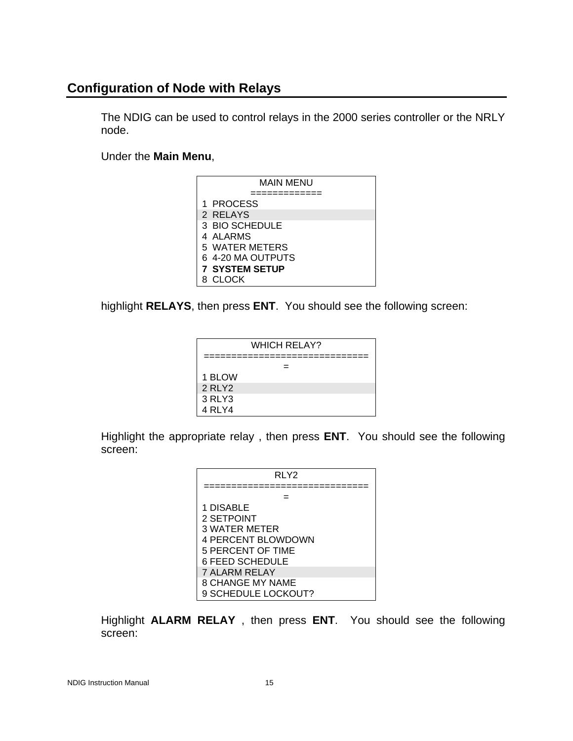#### **Configuration of Node with Relays**

The NDIG can be used to control relays in the 2000 series controller or the NRLY node.

Under the **Main Menu**,

| MAIN MENU             |  |  |  |
|-----------------------|--|--|--|
|                       |  |  |  |
| 1 PROCESS             |  |  |  |
| 2 RELAYS              |  |  |  |
| 3 BIO SCHEDULE        |  |  |  |
| 4 ALARMS              |  |  |  |
| 5 WATER METERS        |  |  |  |
| 6 4-20 MA OUTPUTS     |  |  |  |
| <b>7 SYSTEM SETUP</b> |  |  |  |
| 8. CI OCK             |  |  |  |

highlight **RELAYS**, then press **ENT**. You should see the following screen:



Highlight the appropriate relay , then press **ENT**. You should see the following screen:

| RLY2                      |  |  |  |
|---------------------------|--|--|--|
|                           |  |  |  |
|                           |  |  |  |
| 1 DISABLE                 |  |  |  |
| 2 SETPOINT                |  |  |  |
| 3 WATER METER             |  |  |  |
| <b>4 PERCENT BLOWDOWN</b> |  |  |  |
| 5 PERCENT OF TIME         |  |  |  |
| <b>6 FEED SCHEDULE</b>    |  |  |  |
| <b>7 ALARM RELAY</b>      |  |  |  |
| <b>8 CHANGE MY NAME</b>   |  |  |  |
| 9 SCHEDULE LOCKOUT?       |  |  |  |

Highlight **ALARM RELAY** , then press **ENT**. You should see the following screen: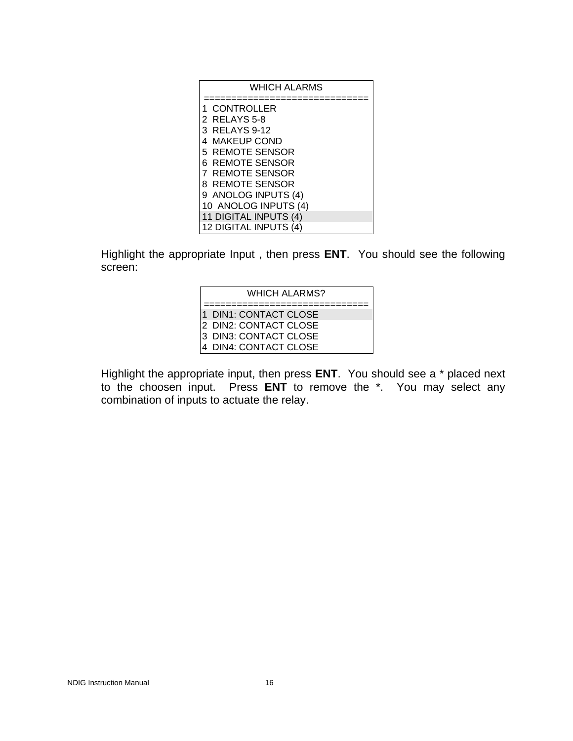| <b>WHICH ALARMS</b>   |  |  |
|-----------------------|--|--|
|                       |  |  |
| CONTROLLER            |  |  |
| 2 RELAYS 5-8          |  |  |
| 3 RELAYS 9-12         |  |  |
| 4 MAKEUP COND         |  |  |
| 5 REMOTE SENSOR       |  |  |
| 6 REMOTE SENSOR       |  |  |
| 7 REMOTE SENSOR       |  |  |
| 8 REMOTE SENSOR       |  |  |
| 9 ANOLOG INPUTS (4)   |  |  |
| 10 ANOLOG INPUTS (4)  |  |  |
| 11 DIGITAL INPUTS (4) |  |  |
| 12 DIGITAL INPUTS (4) |  |  |

Highlight the appropriate Input , then press **ENT**. You should see the following screen:

| <b>WHICH ALARMS?</b> |                                                                                                     |  |  |
|----------------------|-----------------------------------------------------------------------------------------------------|--|--|
|                      | l1_DIN1: CONTACT CLOSE<br>I2 DIN2: CONTACT CLOSE<br>l3 DIN3: CONTACT CLOSE<br>4 DIN4: CONTACT CLOSE |  |  |

Highlight the appropriate input, then press **ENT**. You should see a \* placed next to the choosen input. Press **ENT** to remove the \*. You may select any combination of inputs to actuate the relay.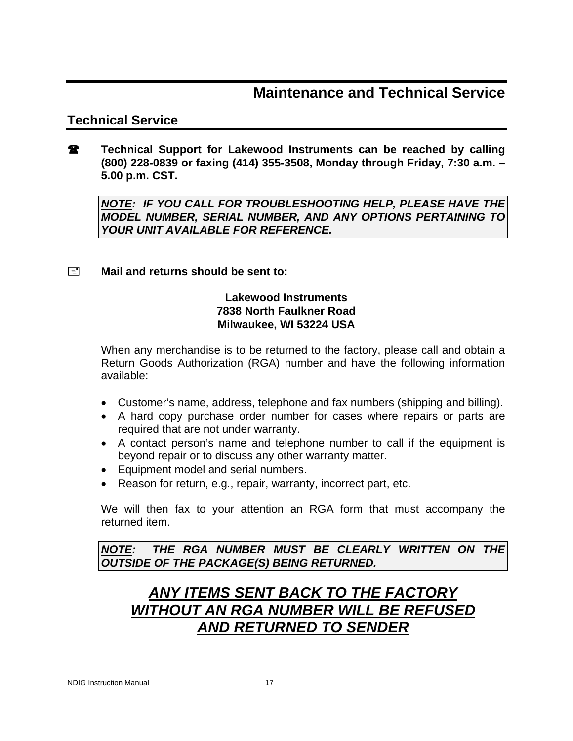### **Maintenance and Technical Service**

#### **Technical Service**

**Technical Support for Lakewood Instruments can be reached by calling (800) 228-0839 or faxing (414) 355-3508, Monday through Friday, 7:30 a.m. – 5.00 p.m. CST.** 

*NOTE: IF YOU CALL FOR TROUBLESHOOTING HELP, PLEASE HAVE THE MODEL NUMBER, SERIAL NUMBER, AND ANY OPTIONS PERTAINING TO YOUR UNIT AVAILABLE FOR REFERENCE.* 

#### **Mail and returns should be sent to:**

#### **Lakewood Instruments 7838 North Faulkner Road Milwaukee, WI 53224 USA**

When any merchandise is to be returned to the factory, please call and obtain a Return Goods Authorization (RGA) number and have the following information available:

- Customer's name, address, telephone and fax numbers (shipping and billing).
- A hard copy purchase order number for cases where repairs or parts are required that are not under warranty.
- A contact person's name and telephone number to call if the equipment is beyond repair or to discuss any other warranty matter.
- Equipment model and serial numbers.
- Reason for return, e.g., repair, warranty, incorrect part, etc.

We will then fax to your attention an RGA form that must accompany the returned item.

*NOTE: THE RGA NUMBER MUST BE CLEARLY WRITTEN ON THE OUTSIDE OF THE PACKAGE(S) BEING RETURNED.* 

# *ANY ITEMS SENT BACK TO THE FACTORY WITHOUT AN RGA NUMBER WILL BE REFUSED AND RETURNED TO SENDER*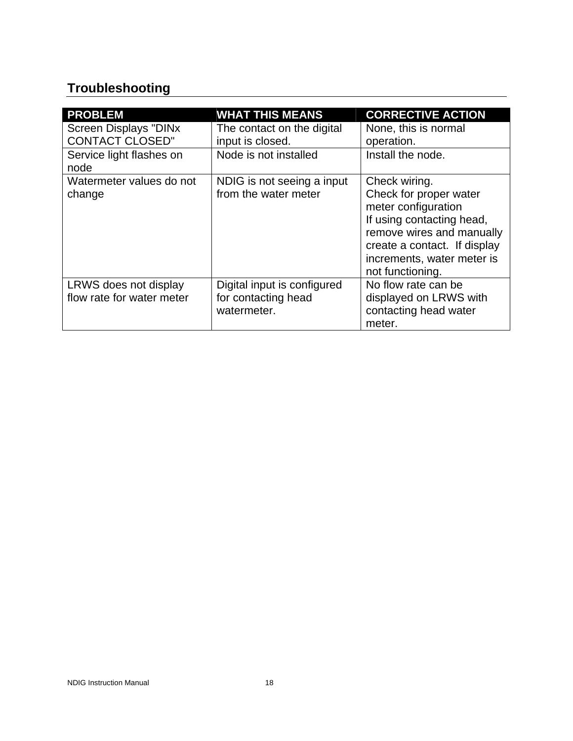# **Troubleshooting**

| <b>PROBLEM</b>               | <b>WHAT THIS MEANS</b>      | <b>CORRECTIVE ACTION</b>     |
|------------------------------|-----------------------------|------------------------------|
| <b>Screen Displays "DINx</b> | The contact on the digital  | None, this is normal         |
| <b>CONTACT CLOSED"</b>       | input is closed.            | operation.                   |
| Service light flashes on     | Node is not installed       | Install the node.            |
| node                         |                             |                              |
| Watermeter values do not     | NDIG is not seeing a input  | Check wiring.                |
| change                       | from the water meter        | Check for proper water       |
|                              |                             | meter configuration          |
|                              |                             | If using contacting head,    |
|                              |                             | remove wires and manually    |
|                              |                             | create a contact. If display |
|                              |                             | increments, water meter is   |
|                              |                             | not functioning.             |
| LRWS does not display        | Digital input is configured | No flow rate can be          |
| flow rate for water meter    | for contacting head         | displayed on LRWS with       |
|                              | watermeter.                 | contacting head water        |
|                              |                             | meter.                       |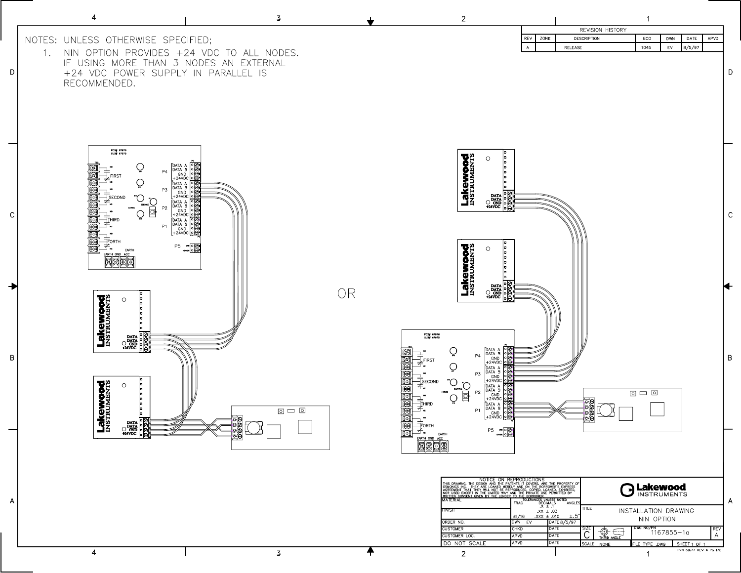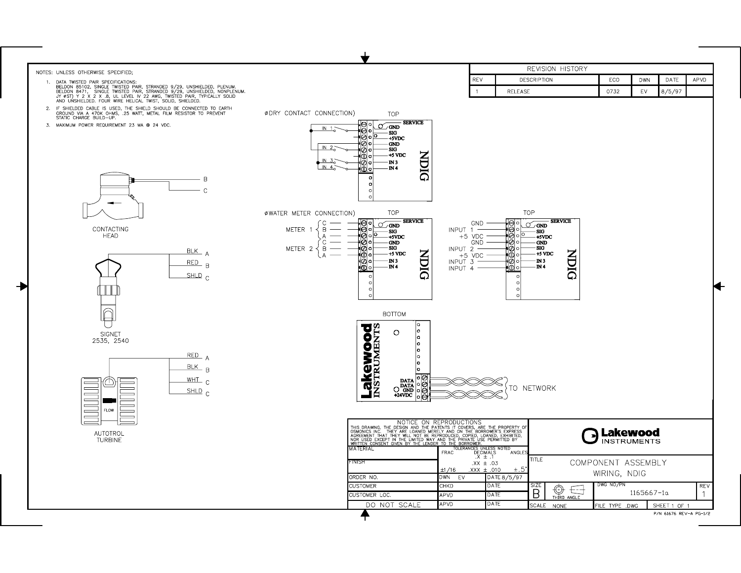

P/N 61676 REV-A PG-1/2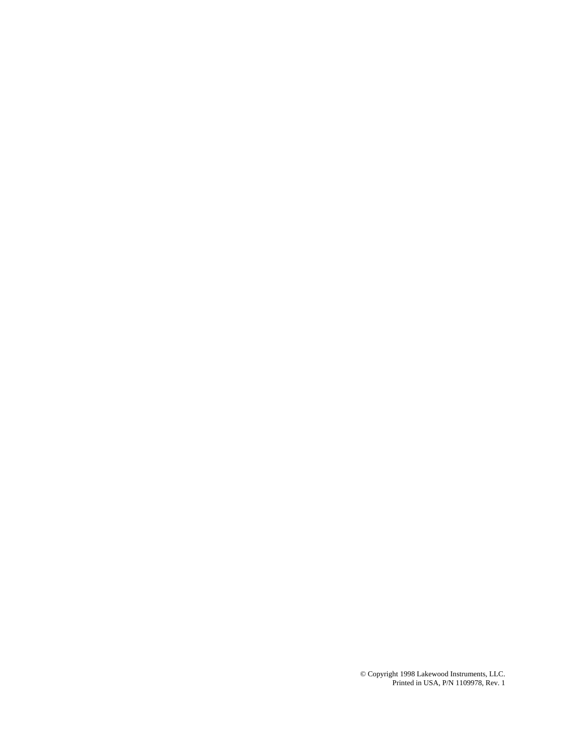© Copyright 1998 Lakewood Instruments, LLC. Printed in USA, P/N 1109978, Rev. 1